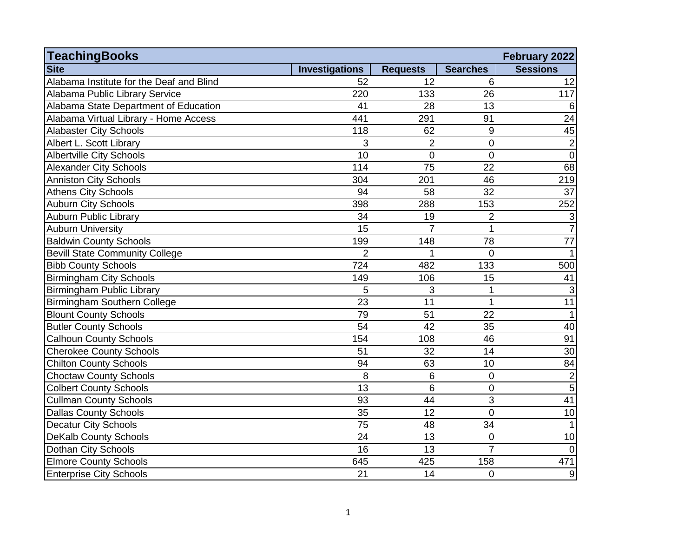| <b>TeachingBooks</b>                     |                       |                 |                 | February 2022   |
|------------------------------------------|-----------------------|-----------------|-----------------|-----------------|
| <b>Site</b>                              | <b>Investigations</b> | <b>Requests</b> | <b>Searches</b> | <b>Sessions</b> |
| Alabama Institute for the Deaf and Blind | 52                    | 12              | 6               | 12              |
| Alabama Public Library Service           | 220                   | 133             | 26              | 117             |
| Alabama State Department of Education    | 41                    | 28              | 13              | 6               |
| Alabama Virtual Library - Home Access    | 441                   | 291             | 91              | $\overline{24}$ |
| <b>Alabaster City Schools</b>            | 118                   | 62              | 9               | 45              |
| Albert L. Scott Library                  | 3                     | $\overline{2}$  | $\mathbf 0$     | $\overline{2}$  |
| <b>Albertville City Schools</b>          | 10                    | 0               | $\overline{0}$  | $\mathbf 0$     |
| <b>Alexander City Schools</b>            | 114                   | 75              | 22              | 68              |
| <b>Anniston City Schools</b>             | 304                   | 201             | 46              | 219             |
| <b>Athens City Schools</b>               | 94                    | 58              | 32              | 37              |
| <b>Auburn City Schools</b>               | 398                   | 288             | 153             | 252             |
| <b>Auburn Public Library</b>             | 34                    | 19              | $\overline{2}$  | $\mathbf{3}$    |
| <b>Auburn University</b>                 | 15                    | $\overline{7}$  | $\mathbf 1$     | $\overline{7}$  |
| <b>Baldwin County Schools</b>            | 199                   | 148             | 78              | 77              |
| <b>Bevill State Community College</b>    | $\overline{2}$        | 1               | $\overline{0}$  | $\mathbf{1}$    |
| <b>Bibb County Schools</b>               | 724                   | 482             | 133             | 500             |
| <b>Birmingham City Schools</b>           | 149                   | 106             | 15              | 41              |
| <b>Birmingham Public Library</b>         | 5                     | 3               | 1               | 3               |
| Birmingham Southern College              | $\overline{23}$       | $\overline{11}$ | $\mathbf 1$     | 11              |
| <b>Blount County Schools</b>             | 79                    | 51              | 22              | $\mathbf{1}$    |
| <b>Butler County Schools</b>             | 54                    | 42              | 35              | 40              |
| <b>Calhoun County Schools</b>            | 154                   | 108             | 46              | 91              |
| <b>Cherokee County Schools</b>           | 51                    | 32              | 14              | 30              |
| <b>Chilton County Schools</b>            | 94                    | 63              | 10              | 84              |
| <b>Choctaw County Schools</b>            | 8                     | 6               | $\overline{0}$  | $\overline{c}$  |
| <b>Colbert County Schools</b>            | 13                    | 6               | $\mathbf 0$     | $\overline{5}$  |
| <b>Cullman County Schools</b>            | 93                    | $\overline{44}$ | $\overline{3}$  | 41              |
| <b>Dallas County Schools</b>             | 35                    | 12              | $\overline{0}$  | 10              |
| <b>Decatur City Schools</b>              | 75                    | 48              | 34              | $\mathbf{1}$    |
| <b>DeKalb County Schools</b>             | 24                    | 13              | $\overline{0}$  | 10              |
| Dothan City Schools                      | 16                    | 13              | $\overline{7}$  | $\overline{0}$  |
| <b>Elmore County Schools</b>             | 645                   | 425             | 158             | 471             |
| <b>Enterprise City Schools</b>           | 21                    | 14              | $\overline{0}$  | 9               |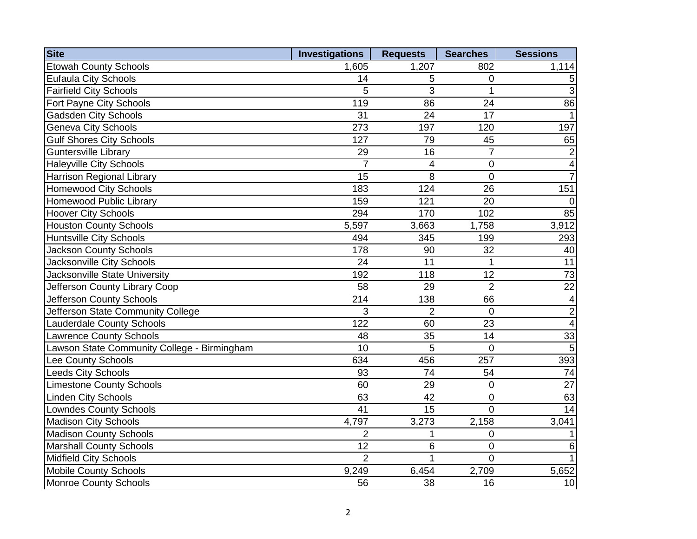| <b>Site</b>                                 | <b>Investigations</b> | <b>Requests</b> | <b>Searches</b> | <b>Sessions</b>         |
|---------------------------------------------|-----------------------|-----------------|-----------------|-------------------------|
| <b>Etowah County Schools</b>                | 1,605                 | 1,207           | 802             | 1,114                   |
| <b>Eufaula City Schools</b>                 | 14                    | 5               | $\mathbf 0$     | 5                       |
| <b>Fairfield City Schools</b>               | 5                     | 3               | $\mathbf{1}$    | $\overline{3}$          |
| Fort Payne City Schools                     | 119                   | 86              | 24              | 86                      |
| <b>Gadsden City Schools</b>                 | 31                    | 24              | 17              | $\mathbf{1}$            |
| <b>Geneva City Schools</b>                  | 273                   | 197             | 120             | 197                     |
| <b>Gulf Shores City Schools</b>             | 127                   | 79              | 45              | 65                      |
| <b>Guntersville Library</b>                 | 29                    | 16              | $\overline{7}$  | $\overline{c}$          |
| <b>Haleyville City Schools</b>              | $\overline{7}$        | 4               | $\overline{0}$  | $\blacktriangle$        |
| Harrison Regional Library                   | 15                    | 8               | $\overline{0}$  | $\overline{7}$          |
| <b>Homewood City Schools</b>                | 183                   | 124             | 26              | 151                     |
| Homewood Public Library                     | 159                   | 121             | 20              | $\overline{0}$          |
| <b>Hoover City Schools</b>                  | 294                   | 170             | 102             | 85                      |
| <b>Houston County Schools</b>               | 5,597                 | 3,663           | 1,758           | 3,912                   |
| <b>Huntsville City Schools</b>              | 494                   | 345             | 199             | 293                     |
| <b>Jackson County Schools</b>               | 178                   | 90              | 32              | 40                      |
| Jacksonville City Schools                   | 24                    | 11              | $\mathbf 1$     | $\overline{11}$         |
| Jacksonville State University               | 192                   | 118             | 12              | 73                      |
| Jefferson County Library Coop               | 58                    | 29              | $\overline{2}$  | $\overline{22}$         |
| Jefferson County Schools                    | 214                   | 138             | 66              | $\overline{a}$          |
| Jefferson State Community College           | 3                     | $\overline{2}$  | $\overline{0}$  | $\overline{2}$          |
| <b>Lauderdale County Schools</b>            | 122                   | 60              | 23              | $\overline{\mathbf{A}}$ |
| <b>Lawrence County Schools</b>              | 48                    | 35              | 14              | 33                      |
| Lawson State Community College - Birmingham | 10                    | 5               | $\mathbf 0$     | $5\phantom{.0}$         |
| Lee County Schools                          | 634                   | 456             | 257             | 393                     |
| <b>Leeds City Schools</b>                   | 93                    | 74              | 54              | 74                      |
| <b>Limestone County Schools</b>             | 60                    | 29              | $\mathbf 0$     | 27                      |
| <b>Linden City Schools</b>                  | 63                    | 42              | $\mathbf 0$     | 63                      |
| <b>Lowndes County Schools</b>               | $\overline{41}$       | 15              | $\overline{0}$  | 14                      |
| <b>Madison City Schools</b>                 | 4,797                 | 3,273           | 2,158           | 3,041                   |
| <b>Madison County Schools</b>               | $\overline{2}$        | 1               | $\mathbf 0$     | $\mathbf{1}$            |
| <b>Marshall County Schools</b>              | 12                    | 6               | $\overline{0}$  | $\,6$                   |
| Midfield City Schools                       | $\overline{2}$        | 1               | $\Omega$        | $\overline{1}$          |
| <b>Mobile County Schools</b>                | 9,249                 | 6,454           | 2,709           | 5,652                   |
| Monroe County Schools                       | 56                    | 38              | 16              | 10                      |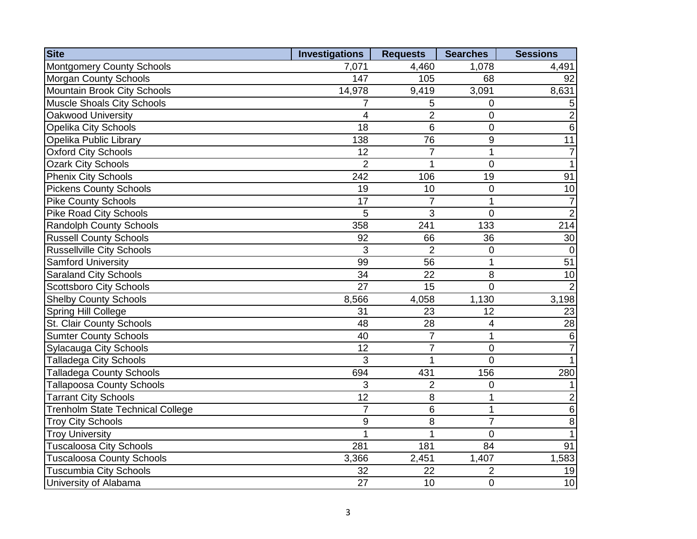| <b>Site</b>                             | <b>Investigations</b> | <b>Requests</b> | <b>Searches</b>  | <b>Sessions</b> |
|-----------------------------------------|-----------------------|-----------------|------------------|-----------------|
| Montgomery County Schools               | 7,071                 | 4,460           | 1,078            | 4,491           |
| <b>Morgan County Schools</b>            | 147                   | 105             | 68               | 92              |
| Mountain Brook City Schools             | 14,978                | 9,419           | 3,091            | 8,631           |
| <b>Muscle Shoals City Schools</b>       | 7                     | 5               | 0                | $\overline{5}$  |
| Oakwood University                      | 4                     | $\overline{2}$  | $\mathbf 0$      | $\overline{2}$  |
| <b>Opelika City Schools</b>             | 18                    | 6               | $\overline{0}$   | $\,6$           |
| Opelika Public Library                  | 138                   | 76              | $\boldsymbol{9}$ | 11              |
| <b>Oxford City Schools</b>              | 12                    | $\overline{7}$  | $\mathbf{1}$     | $\overline{7}$  |
| <b>Ozark City Schools</b>               | $\overline{2}$        | 1               | $\mathbf 0$      | $\overline{1}$  |
| <b>Phenix City Schools</b>              | 242                   | 106             | 19               | 91              |
| <b>Pickens County Schools</b>           | 19                    | 10              | $\overline{0}$   | 10              |
| <b>Pike County Schools</b>              | $\overline{17}$       | $\overline{7}$  | $\overline{1}$   | $\overline{7}$  |
| <b>Pike Road City Schools</b>           | 5                     | 3               | $\mathbf 0$      | $\overline{2}$  |
| <b>Randolph County Schools</b>          | 358                   | 241             | 133              | 214             |
| <b>Russell County Schools</b>           | 92                    | 66              | 36               | 30              |
| <b>Russellville City Schools</b>        | 3                     | $\overline{2}$  | $\mathbf 0$      | $\mathbf 0$     |
| <b>Samford University</b>               | 99                    | 56              | $\mathbf{1}$     | $\overline{51}$ |
| <b>Saraland City Schools</b>            | 34                    | 22              | 8                | 10              |
| <b>Scottsboro City Schools</b>          | 27                    | 15              | $\Omega$         | $\overline{2}$  |
| <b>Shelby County Schools</b>            | 8,566                 | 4,058           | 1,130            | 3,198           |
| Spring Hill College                     | 31                    | 23              | 12               | 23              |
| St. Clair County Schools                | 48                    | 28              | $\overline{4}$   | 28              |
| <b>Sumter County Schools</b>            | 40                    | $\overline{7}$  | $\mathbf{1}$     | $\,6$           |
| <b>Sylacauga City Schools</b>           | $\overline{12}$       | $\overline{7}$  | $\mathbf 0$      | $\overline{7}$  |
| <b>Talladega City Schools</b>           | 3                     | $\mathbf{1}$    | $\overline{0}$   | 1               |
| <b>Talladega County Schools</b>         | 694                   | 431             | 156              | 280             |
| <b>Tallapoosa County Schools</b>        | 3                     | $\overline{2}$  | $\mathbf 0$      | $\mathbf{1}$    |
| <b>Tarrant City Schools</b>             | 12                    | 8               | $\mathbf{1}$     | $\overline{c}$  |
| <b>Trenholm State Technical College</b> | $\overline{7}$        | 6               | $\mathbf{1}$     | $\overline{6}$  |
| <b>Troy City Schools</b>                | 9                     | 8               | $\overline{7}$   | $\overline{8}$  |
| <b>Troy University</b>                  | 1                     | 1               | $\overline{0}$   | $\overline{1}$  |
| <b>Tuscaloosa City Schools</b>          | 281                   | 181             | 84               | 91              |
| <b>Tuscaloosa County Schools</b>        | 3,366                 | 2,451           | 1,407            | 1,583           |
| <b>Tuscumbia City Schools</b>           | 32                    | 22              | $\overline{2}$   | 19              |
| University of Alabama                   | 27                    | 10              | $\mathbf 0$      | 10              |